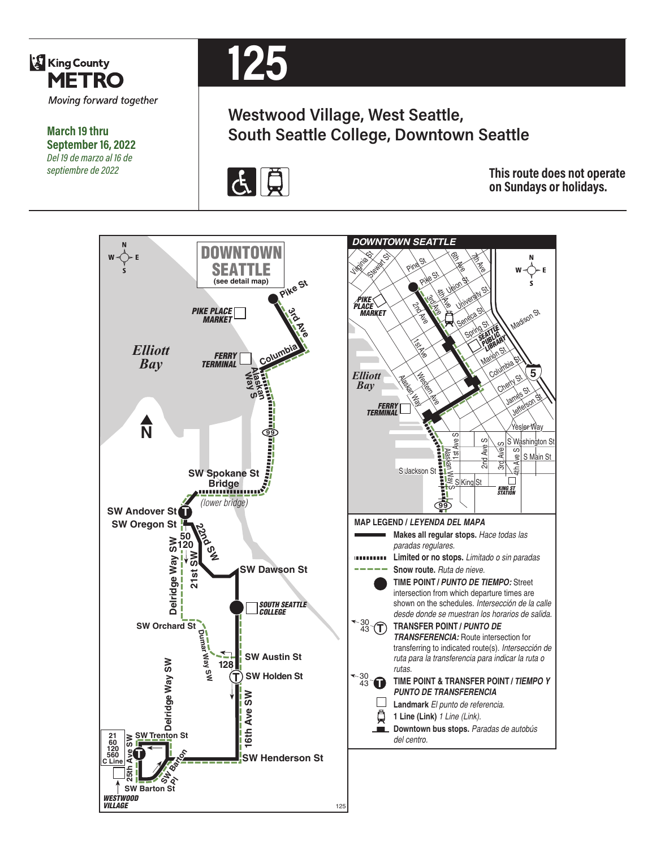

**March 19 thru September 16, 2022** *Del 19 de marzo al 16 de septiembre de 2022*



# **Westwood Village, West Seattle, South Seattle College, Downtown Seattle**



**This route does not operate on Sundays or holidays.**